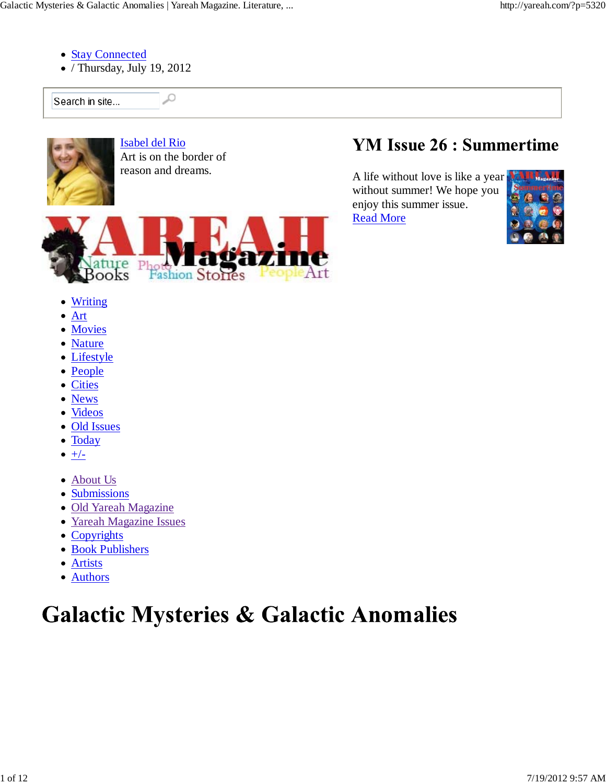- Stay Connected
- / Thursday, July 19, 2012

Search in site...



Isabel del Rio Art is on the border of

Ω



# **YM Issue 26 : Summertime**

reason and dreams.<br>
A life without love is like a year without summer! We hope you enjoy this summer issue. Read More



- Writing
- Art
- Movies
- Nature
- Lifestyle
- People
- Cities
- News
- Videos
- Old Issues
- Today
- $\bullet$   $\pm/-$
- About Us
- Submissions
- Old Yareah Magazine
- Yareah Magazine Issues
- Copyrights
- Book Publishers
- Artists
- Authors

# **Galactic Mysteries & Galactic Anomalies**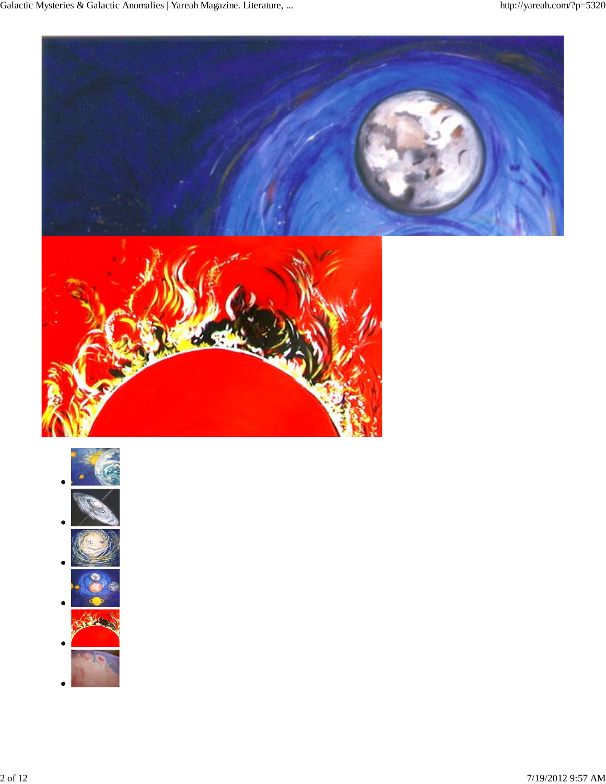









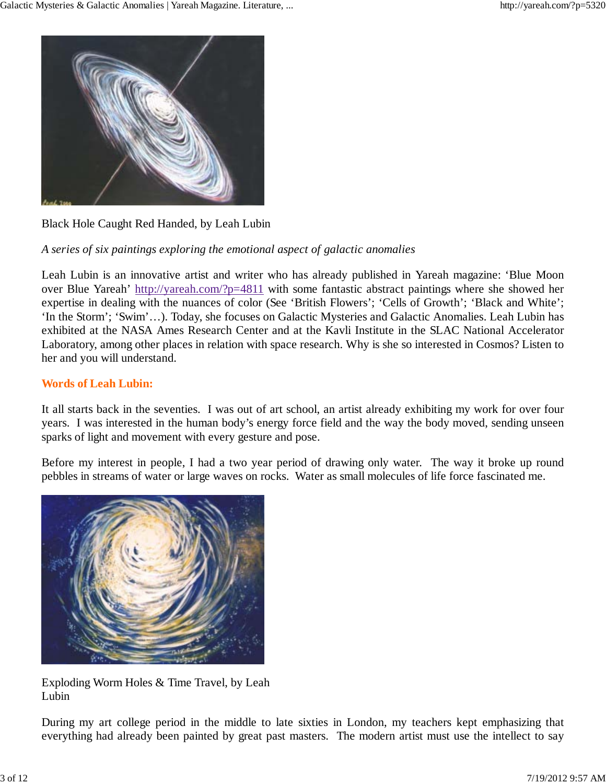

Black Hole Caught Red Handed, by Leah Lubin

#### *A series of six paintings exploring the emotional aspect of galactic anomalies*

Leah Lubin is an innovative artist and writer who has already published in Yareah magazine: 'Blue Moon over Blue Yareah' http://yareah.com/?p=4811 with some fantastic abstract paintings where she showed her expertise in dealing with the nuances of color (See 'British Flowers'; 'Cells of Growth'; 'Black and White'; 'In the Storm'; 'Swim'…). Today, she focuses on Galactic Mysteries and Galactic Anomalies. Leah Lubin has exhibited at the NASA Ames Research Center and at the Kavli Institute in the SLAC National Accelerator Laboratory, among other places in relation with space research. Why is she so interested in Cosmos? Listen to her and you will understand.

#### **Words of Leah Lubin:**

It all starts back in the seventies. I was out of art school, an artist already exhibiting my work for over four years. I was interested in the human body's energy force field and the way the body moved, sending unseen sparks of light and movement with every gesture and pose.

Before my interest in people, I had a two year period of drawing only water. The way it broke up round pebbles in streams of water or large waves on rocks. Water as small molecules of life force fascinated me.



Exploding Worm Holes & Time Travel, by Leah Lubin

During my art college period in the middle to late sixties in London, my teachers kept emphasizing that everything had already been painted by great past masters. The modern artist must use the intellect to say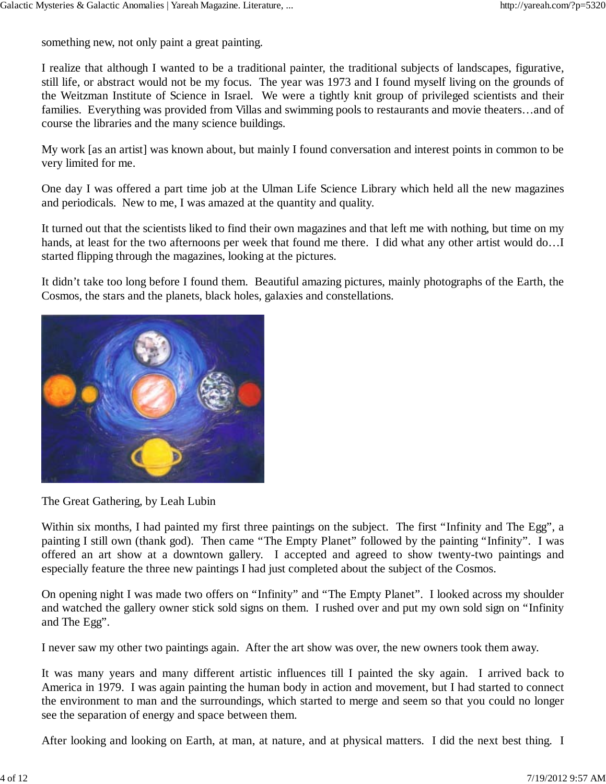something new, not only paint a great painting.

I realize that although I wanted to be a traditional painter, the traditional subjects of landscapes, figurative, still life, or abstract would not be my focus. The year was 1973 and I found myself living on the grounds of the Weitzman Institute of Science in Israel. We were a tightly knit group of privileged scientists and their families. Everything was provided from Villas and swimming pools to restaurants and movie theaters…and of course the libraries and the many science buildings.

My work [as an artist] was known about, but mainly I found conversation and interest points in common to be very limited for me.

One day I was offered a part time job at the Ulman Life Science Library which held all the new magazines and periodicals. New to me, I was amazed at the quantity and quality.

It turned out that the scientists liked to find their own magazines and that left me with nothing, but time on my hands, at least for the two afternoons per week that found me there. I did what any other artist would do...I started flipping through the magazines, looking at the pictures.

It didn't take too long before I found them. Beautiful amazing pictures, mainly photographs of the Earth, the Cosmos, the stars and the planets, black holes, galaxies and constellations.



The Great Gathering, by Leah Lubin

Within six months, I had painted my first three paintings on the subject. The first "Infinity and The Egg", a painting I still own (thank god). Then came "The Empty Planet" followed by the painting "Infinity". I was offered an art show at a downtown gallery. I accepted and agreed to show twenty-two paintings and especially feature the three new paintings I had just completed about the subject of the Cosmos.

On opening night I was made two offers on "Infinity" and "The Empty Planet". I looked across my shoulder and watched the gallery owner stick sold signs on them. I rushed over and put my own sold sign on "Infinity and The Egg".

I never saw my other two paintings again. After the art show was over, the new owners took them away.

It was many years and many different artistic influences till I painted the sky again. I arrived back to America in 1979. I was again painting the human body in action and movement, but I had started to connect the environment to man and the surroundings, which started to merge and seem so that you could no longer see the separation of energy and space between them.

After looking and looking on Earth, at man, at nature, and at physical matters. I did the next best thing. I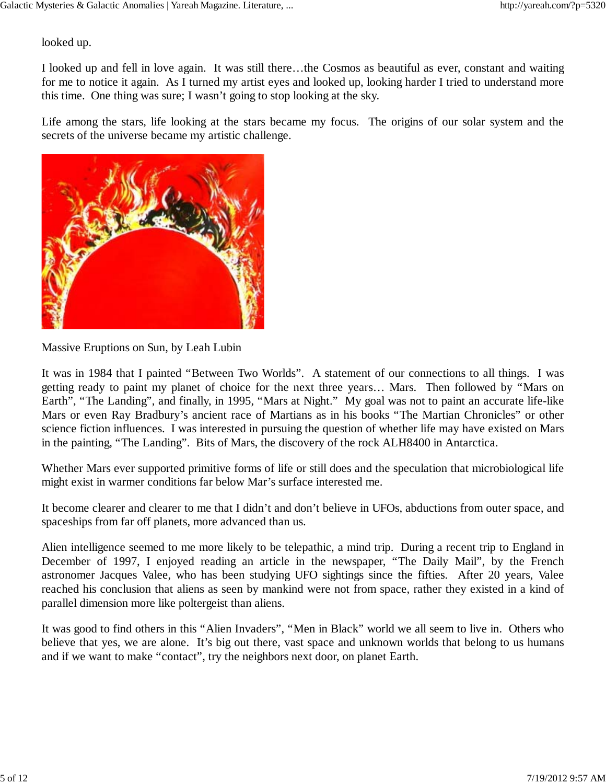looked up.

I looked up and fell in love again. It was still there…the Cosmos as beautiful as ever, constant and waiting for me to notice it again. As I turned my artist eyes and looked up, looking harder I tried to understand more this time. One thing was sure; I wasn't going to stop looking at the sky.

Life among the stars, life looking at the stars became my focus. The origins of our solar system and the secrets of the universe became my artistic challenge.



Massive Eruptions on Sun, by Leah Lubin

It was in 1984 that I painted "Between Two Worlds". A statement of our connections to all things. I was getting ready to paint my planet of choice for the next three years… Mars. Then followed by "Mars on Earth", "The Landing", and finally, in 1995, "Mars at Night." My goal was not to paint an accurate life-like Mars or even Ray Bradbury's ancient race of Martians as in his books "The Martian Chronicles" or other science fiction influences. I was interested in pursuing the question of whether life may have existed on Mars in the painting, "The Landing". Bits of Mars, the discovery of the rock ALH8400 in Antarctica.

Whether Mars ever supported primitive forms of life or still does and the speculation that microbiological life might exist in warmer conditions far below Mar's surface interested me.

It become clearer and clearer to me that I didn't and don't believe in UFOs, abductions from outer space, and spaceships from far off planets, more advanced than us.

Alien intelligence seemed to me more likely to be telepathic, a mind trip. During a recent trip to England in December of 1997, I enjoyed reading an article in the newspaper, "The Daily Mail", by the French astronomer Jacques Valee, who has been studying UFO sightings since the fifties. After 20 years, Valee reached his conclusion that aliens as seen by mankind were not from space, rather they existed in a kind of parallel dimension more like poltergeist than aliens.

It was good to find others in this "Alien Invaders", "Men in Black" world we all seem to live in. Others who believe that yes, we are alone. It's big out there, vast space and unknown worlds that belong to us humans and if we want to make "contact", try the neighbors next door, on planet Earth.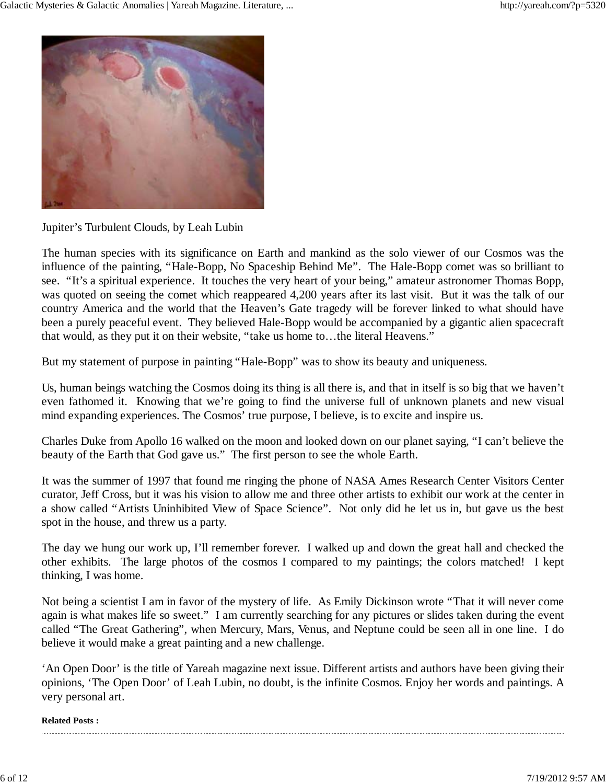

Jupiter's Turbulent Clouds, by Leah Lubin

The human species with its significance on Earth and mankind as the solo viewer of our Cosmos was the influence of the painting, "Hale-Bopp, No Spaceship Behind Me". The Hale-Bopp comet was so brilliant to see. "It's a spiritual experience. It touches the very heart of your being," amateur astronomer Thomas Bopp, was quoted on seeing the comet which reappeared 4,200 years after its last visit. But it was the talk of our country America and the world that the Heaven's Gate tragedy will be forever linked to what should have been a purely peaceful event. They believed Hale-Bopp would be accompanied by a gigantic alien spacecraft that would, as they put it on their website, "take us home to…the literal Heavens."

But my statement of purpose in painting "Hale-Bopp" was to show its beauty and uniqueness.

Us, human beings watching the Cosmos doing its thing is all there is, and that in itself is so big that we haven't even fathomed it. Knowing that we're going to find the universe full of unknown planets and new visual mind expanding experiences. The Cosmos' true purpose, I believe, is to excite and inspire us.

Charles Duke from Apollo 16 walked on the moon and looked down on our planet saying, "I can't believe the beauty of the Earth that God gave us." The first person to see the whole Earth.

It was the summer of 1997 that found me ringing the phone of NASA Ames Research Center Visitors Center curator, Jeff Cross, but it was his vision to allow me and three other artists to exhibit our work at the center in a show called "Artists Uninhibited View of Space Science". Not only did he let us in, but gave us the best spot in the house, and threw us a party.

The day we hung our work up, I'll remember forever. I walked up and down the great hall and checked the other exhibits. The large photos of the cosmos I compared to my paintings; the colors matched! I kept thinking, I was home.

Not being a scientist I am in favor of the mystery of life. As Emily Dickinson wrote "That it will never come again is what makes life so sweet." I am currently searching for any pictures or slides taken during the event called "The Great Gathering", when Mercury, Mars, Venus, and Neptune could be seen all in one line. I do believe it would make a great painting and a new challenge.

'An Open Door' is the title of Yareah magazine next issue. Different artists and authors have been giving their opinions, 'The Open Door' of Leah Lubin, no doubt, is the infinite Cosmos. Enjoy her words and paintings. A very personal art.

#### **Related Posts :**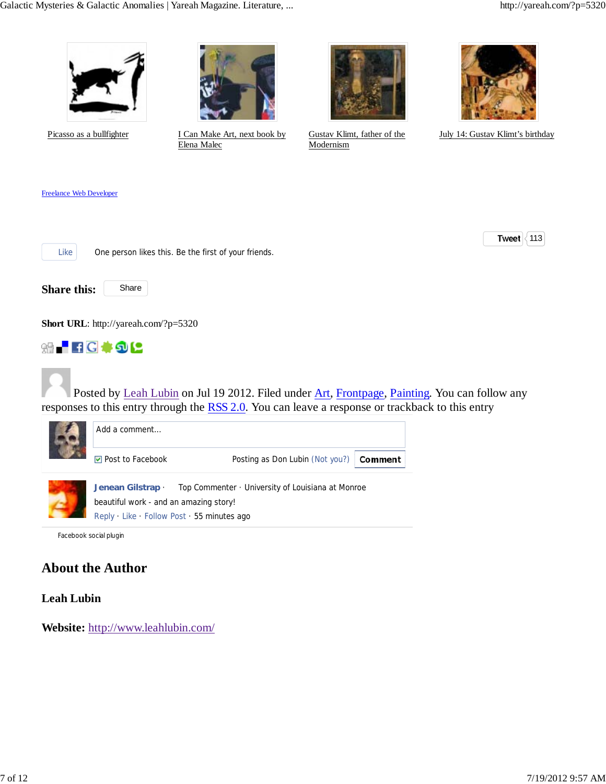Galactic Mysteries & Galactic Anomalies | Yareah Magazine. Literature, ... http://yareah.com/?p=5320





Gustav Klimt, father of the Modernism



July 14: Gustav Klimt's birthday

**Tweet**  $\langle 113$ 

#### Freelance Web Developer



Picasso as a bullfighter I Can Make Art, next book by

Elena Malec



**Short URL**: http://yareah.com/?p=5320

## **输量图 G \* 50 L2**



Posted by Leah Lubin on Jul 19 2012. Filed under Art, Frontpage, Painting. You can follow any responses to this entry through the RSS 2.0. You can leave a response or trackback to this entry



Facebook social plugin

#### **About the Author**

**Leah Lubin**

**Website:** http://www.leahlubin.com/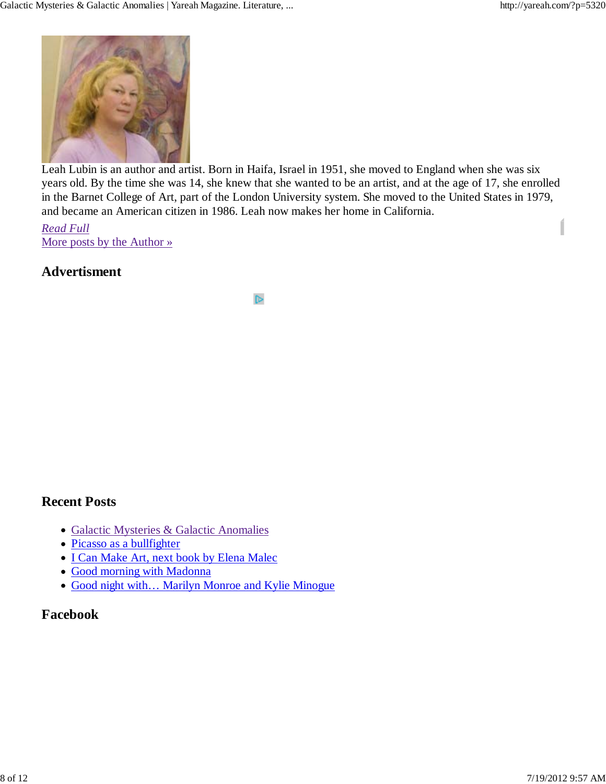$\overline{\phantom{a}}$ 



Leah Lubin is an author and artist. Born in Haifa, Israel in 1951, she moved to England when she was six years old. By the time she was 14, she knew that she wanted to be an artist, and at the age of 17, she enrolled in the Barnet College of Art, part of the London University system. She moved to the United States in 1979, and became an American citizen in 1986. Leah now makes her home in California.

More posts by the Author » *Read Full*

### **Advertisment**

 $\mathbb{D}$ 

#### **Recent Posts**

- Galactic Mysteries & Galactic Anomalies
- Picasso as a bullfighter
- I Can Make Art, next book by Elena Malec
- Good morning with Madonna
- Good night with… Marilyn Monroe and Kylie Minogue

#### **Facebook**